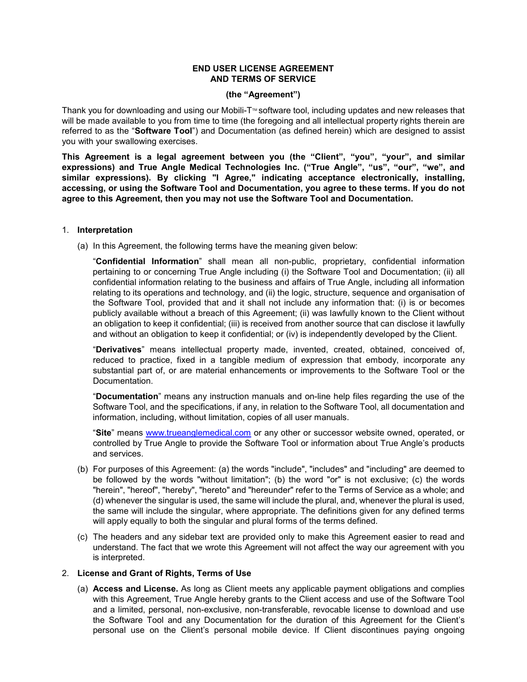### **END USER LICENSE AGREEMENT AND TERMS OF SERVICE**

#### **(the "Agreement")**

Thank you for downloading and using our Mobili-T<sup>™</sup> software tool, including updates and new releases that will be made available to you from time to time (the foregoing and all intellectual property rights therein are referred to as the "**Software Tool**") and Documentation (as defined herein) which are designed to assist you with your swallowing exercises.

**This Agreement is a legal agreement between you (the "Client", "you", "your", and similar expressions) and True Angle Medical Technologies Inc. ("True Angle", "us", "our", "we", and**  similar expressions). By clicking "I Agree," indicating acceptance electronically, installing, **accessing, or using the Software Tool and Documentation, you agree to these terms. If you do not agree to this Agreement, then you may not use the Software Tool and Documentation.**

#### 1. **Interpretation**

(a) In this Agreement, the following terms have the meaning given below:

"**Confidential Information**" shall mean all non-public, proprietary, confidential information pertaining to or concerning True Angle including (i) the Software Tool and Documentation; (ii) all confidential information relating to the business and affairs of True Angle, including all information relating to its operations and technology, and (ii) the logic, structure, sequence and organisation of the Software Tool, provided that and it shall not include any information that: (i) is or becomes publicly available without a breach of this Agreement; (ii) was lawfully known to the Client without an obligation to keep it confidential; (iii) is received from another source that can disclose it lawfully and without an obligation to keep it confidential; or (iv) is independently developed by the Client.

"**Derivatives**" means intellectual property made, invented, created, obtained, conceived of, reduced to practice, fixed in a tangible medium of expression that embody, incorporate any substantial part of, or are material enhancements or improvements to the Software Tool or the Documentation.

"**Documentation**" means any instruction manuals and on-line help files regarding the use of the Software Tool, and the specifications, if any, in relation to the Software Tool, all documentation and information, including, without limitation, copies of all user manuals.

"**Site**" means [www.trueanglemedical.com](http://www.trueanglemedical.com/) or any other or successor website owned, operated, or controlled by True Angle to provide the Software Tool or information about True Angle's products and services.

- (b) For purposes of this Agreement: (a) the words "include", "includes" and "including" are deemed to be followed by the words "without limitation"; (b) the word "or" is not exclusive; (c) the words "herein", "hereof", "hereby", "hereto" and "hereunder" refer to the Terms of Service as a whole; and (d) whenever the singular is used, the same will include the plural, and, whenever the plural is used, the same will include the singular, where appropriate. The definitions given for any defined terms will apply equally to both the singular and plural forms of the terms defined.
- (c) The headers and any sidebar text are provided only to make this Agreement easier to read and understand. The fact that we wrote this Agreement will not affect the way our agreement with you is interpreted.

### 2. **License and Grant of Rights, Terms of Use**

(a) **Access and License.** As long as Client meets any applicable payment obligations and complies with this Agreement, True Angle hereby grants to the Client access and use of the Software Tool and a limited, personal, non-exclusive, non-transferable, revocable license to download and use the Software Tool and any Documentation for the duration of this Agreement for the Client's personal use on the Client's personal mobile device. If Client discontinues paying ongoing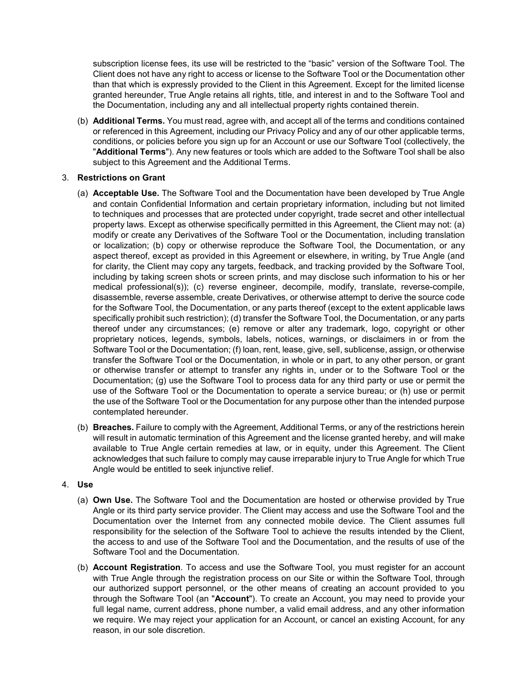subscription license fees, its use will be restricted to the "basic" version of the Software Tool. The Client does not have any right to access or license to the Software Tool or the Documentation other than that which is expressly provided to the Client in this Agreement. Except for the limited license granted hereunder, True Angle retains all rights, title, and interest in and to the Software Tool and the Documentation, including any and all intellectual property rights contained therein.

(b) **Additional Terms.** You must read, agree with, and accept all of the terms and conditions contained or referenced in this Agreement, including our Privacy Policy and any of our other applicable terms, conditions, or policies before you sign up for an Account or use our Software Tool (collectively, the "**Additional Terms**"). Any new features or tools which are added to the Software Tool shall be also subject to this Agreement and the Additional Terms.

# 3. **Restrictions on Grant**

- (a) **Acceptable Use.** The Software Tool and the Documentation have been developed by True Angle and contain Confidential Information and certain proprietary information, including but not limited to techniques and processes that are protected under copyright, trade secret and other intellectual property laws. Except as otherwise specifically permitted in this Agreement, the Client may not: (a) modify or create any Derivatives of the Software Tool or the Documentation, including translation or localization; (b) copy or otherwise reproduce the Software Tool, the Documentation, or any aspect thereof, except as provided in this Agreement or elsewhere, in writing, by True Angle (and for clarity, the Client may copy any targets, feedback, and tracking provided by the Software Tool, including by taking screen shots or screen prints, and may disclose such information to his or her medical professional(s)); (c) reverse engineer, decompile, modify, translate, reverse-compile, disassemble, reverse assemble, create Derivatives, or otherwise attempt to derive the source code for the Software Tool, the Documentation, or any parts thereof (except to the extent applicable laws specifically prohibit such restriction); (d) transfer the Software Tool, the Documentation, or any parts thereof under any circumstances; (e) remove or alter any trademark, logo, copyright or other proprietary notices, legends, symbols, labels, notices, warnings, or disclaimers in or from the Software Tool or the Documentation; (f) loan, rent, lease, give, sell, sublicense, assign, or otherwise transfer the Software Tool or the Documentation, in whole or in part, to any other person, or grant or otherwise transfer or attempt to transfer any rights in, under or to the Software Tool or the Documentation; (g) use the Software Tool to process data for any third party or use or permit the use of the Software Tool or the Documentation to operate a service bureau; or (h) use or permit the use of the Software Tool or the Documentation for any purpose other than the intended purpose contemplated hereunder.
- (b) **Breaches.** Failure to comply with the Agreement, Additional Terms, or any of the restrictions herein will result in automatic termination of this Agreement and the license granted hereby, and will make available to True Angle certain remedies at law, or in equity, under this Agreement. The Client acknowledges that such failure to comply may cause irreparable injury to True Angle for which True Angle would be entitled to seek injunctive relief.

### 4. **Use**

- (a) **Own Use.** The Software Tool and the Documentation are hosted or otherwise provided by True Angle or its third party service provider. The Client may access and use the Software Tool and the Documentation over the Internet from any connected mobile device. The Client assumes full responsibility for the selection of the Software Tool to achieve the results intended by the Client, the access to and use of the Software Tool and the Documentation, and the results of use of the Software Tool and the Documentation.
- (b) **Account Registration**. To access and use the Software Tool, you must register for an account with True Angle through the registration process on our Site or within the Software Tool, through our authorized support personnel, or the other means of creating an account provided to you through the Software Tool (an "**Account**"). To create an Account, you may need to provide your full legal name, current address, phone number, a valid email address, and any other information we require. We may reject your application for an Account, or cancel an existing Account, for any reason, in our sole discretion.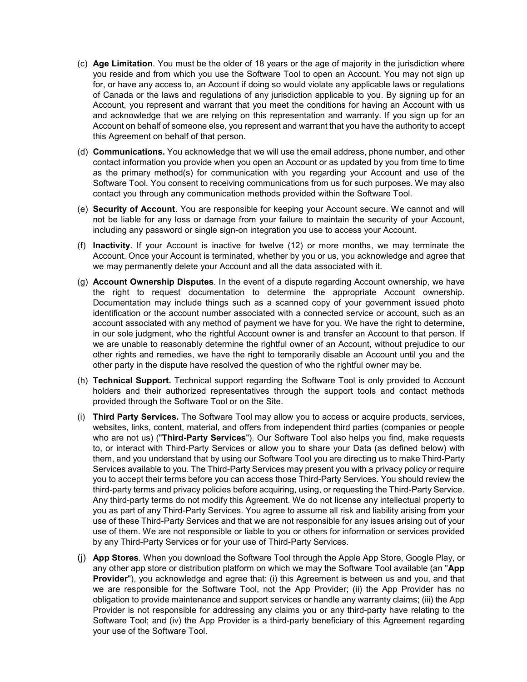- (c) **Age Limitation**. You must be the older of 18 years or the age of majority in the jurisdiction where you reside and from which you use the Software Tool to open an Account. You may not sign up for, or have any access to, an Account if doing so would violate any applicable laws or regulations of Canada or the laws and regulations of any jurisdiction applicable to you. By signing up for an Account, you represent and warrant that you meet the conditions for having an Account with us and acknowledge that we are relying on this representation and warranty. If you sign up for an Account on behalf of someone else, you represent and warrant that you have the authority to accept this Agreement on behalf of that person.
- (d) **Communications.** You acknowledge that we will use the email address, phone number, and other contact information you provide when you open an Account or as updated by you from time to time as the primary method(s) for communication with you regarding your Account and use of the Software Tool. You consent to receiving communications from us for such purposes. We may also contact you through any communication methods provided within the Software Tool.
- (e) **Security of Account**. You are responsible for keeping your Account secure. We cannot and will not be liable for any loss or damage from your failure to maintain the security of your Account, including any password or single sign-on integration you use to access your Account.
- (f) **Inactivity**. If your Account is inactive for twelve (12) or more months, we may terminate the Account. Once your Account is terminated, whether by you or us, you acknowledge and agree that we may permanently delete your Account and all the data associated with it.
- (g) **Account Ownership Disputes**. In the event of a dispute regarding Account ownership, we have the right to request documentation to determine the appropriate Account ownership. Documentation may include things such as a scanned copy of your government issued photo identification or the account number associated with a connected service or account, such as an account associated with any method of payment we have for you. We have the right to determine, in our sole judgment, who the rightful Account owner is and transfer an Account to that person. If we are unable to reasonably determine the rightful owner of an Account, without prejudice to our other rights and remedies, we have the right to temporarily disable an Account until you and the other party in the dispute have resolved the question of who the rightful owner may be.
- (h) **Technical Support.** Technical support regarding the Software Tool is only provided to Account holders and their authorized representatives through the support tools and contact methods provided through the Software Tool or on the Site.
- (i) **Third Party Services.** The Software Tool may allow you to access or acquire products, services, websites, links, content, material, and offers from independent third parties (companies or people who are not us) ("**Third-Party Services**"). Our Software Tool also helps you find, make requests to, or interact with Third-Party Services or allow you to share your Data (as defined below) with them, and you understand that by using our Software Tool you are directing us to make Third-Party Services available to you. The Third-Party Services may present you with a privacy policy or require you to accept their terms before you can access those Third-Party Services. You should review the third-party terms and privacy policies before acquiring, using, or requesting the Third-Party Service. Any third-party terms do not modify this Agreement. We do not license any intellectual property to you as part of any Third-Party Services. You agree to assume all risk and liability arising from your use of these Third-Party Services and that we are not responsible for any issues arising out of your use of them. We are not responsible or liable to you or others for information or services provided by any Third-Party Services or for your use of Third-Party Services.
- (j) **App Stores**. When you download the Software Tool through the Apple App Store, Google Play, or any other app store or distribution platform on which we may the Software Tool available (an "**App Provider**"), you acknowledge and agree that: (i) this Agreement is between us and you, and that we are responsible for the Software Tool, not the App Provider; (ii) the App Provider has no obligation to provide maintenance and support services or handle any warranty claims; (iii) the App Provider is not responsible for addressing any claims you or any third-party have relating to the Software Tool; and (iv) the App Provider is a third-party beneficiary of this Agreement regarding your use of the Software Tool.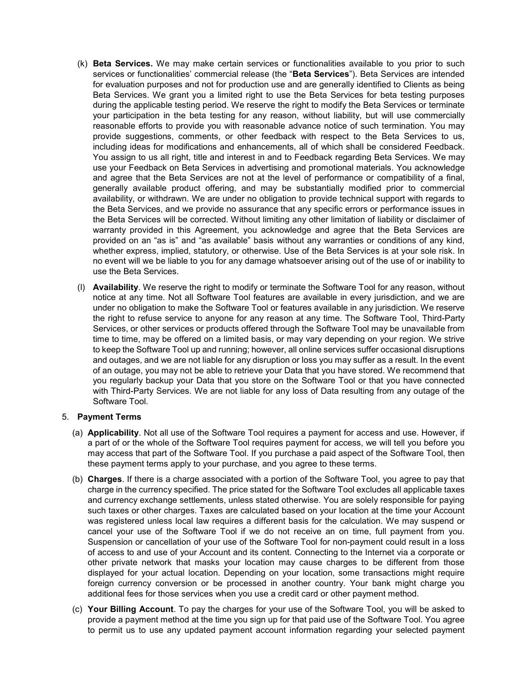- (k) **Beta Services.** We may make certain services or functionalities available to you prior to such services or functionalities' commercial release (the "**Beta Services**"). Beta Services are intended for evaluation purposes and not for production use and are generally identified to Clients as being Beta Services. We grant you a limited right to use the Beta Services for beta testing purposes during the applicable testing period. We reserve the right to modify the Beta Services or terminate your participation in the beta testing for any reason, without liability, but will use commercially reasonable efforts to provide you with reasonable advance notice of such termination. You may provide suggestions, comments, or other feedback with respect to the Beta Services to us, including ideas for modifications and enhancements, all of which shall be considered Feedback. You assign to us all right, title and interest in and to Feedback regarding Beta Services. We may use your Feedback on Beta Services in advertising and promotional materials. You acknowledge and agree that the Beta Services are not at the level of performance or compatibility of a final, generally available product offering, and may be substantially modified prior to commercial availability, or withdrawn. We are under no obligation to provide technical support with regards to the Beta Services, and we provide no assurance that any specific errors or performance issues in the Beta Services will be corrected. Without limiting any other limitation of liability or disclaimer of warranty provided in this Agreement, you acknowledge and agree that the Beta Services are provided on an "as is" and "as available" basis without any warranties or conditions of any kind, whether express, implied, statutory, or otherwise. Use of the Beta Services is at your sole risk. In no event will we be liable to you for any damage whatsoever arising out of the use of or inability to use the Beta Services.
- (l) **Availability**. We reserve the right to modify or terminate the Software Tool for any reason, without notice at any time. Not all Software Tool features are available in every jurisdiction, and we are under no obligation to make the Software Tool or features available in any jurisdiction. We reserve the right to refuse service to anyone for any reason at any time. The Software Tool, Third-Party Services, or other services or products offered through the Software Tool may be unavailable from time to time, may be offered on a limited basis, or may vary depending on your region. We strive to keep the Software Tool up and running; however, all online services suffer occasional disruptions and outages, and we are not liable for any disruption or loss you may suffer as a result. In the event of an outage, you may not be able to retrieve your Data that you have stored. We recommend that you regularly backup your Data that you store on the Software Tool or that you have connected with Third-Party Services. We are not liable for any loss of Data resulting from any outage of the Software Tool.

### 5. **Payment Terms**

- (a) **Applicability**. Not all use of the Software Tool requires a payment for access and use. However, if a part of or the whole of the Software Tool requires payment for access, we will tell you before you may access that part of the Software Tool. If you purchase a paid aspect of the Software Tool, then these payment terms apply to your purchase, and you agree to these terms.
- (b) **Charges**. If there is a charge associated with a portion of the Software Tool, you agree to pay that charge in the currency specified. The price stated for the Software Tool excludes all applicable taxes and currency exchange settlements, unless stated otherwise. You are solely responsible for paying such taxes or other charges. Taxes are calculated based on your location at the time your Account was registered unless local law requires a different basis for the calculation. We may suspend or cancel your use of the Software Tool if we do not receive an on time, full payment from you. Suspension or cancellation of your use of the Software Tool for non-payment could result in a loss of access to and use of your Account and its content. Connecting to the Internet via a corporate or other private network that masks your location may cause charges to be different from those displayed for your actual location. Depending on your location, some transactions might require foreign currency conversion or be processed in another country. Your bank might charge you additional fees for those services when you use a credit card or other payment method.
- (c) **Your Billing Account**. To pay the charges for your use of the Software Tool, you will be asked to provide a payment method at the time you sign up for that paid use of the Software Tool. You agree to permit us to use any updated payment account information regarding your selected payment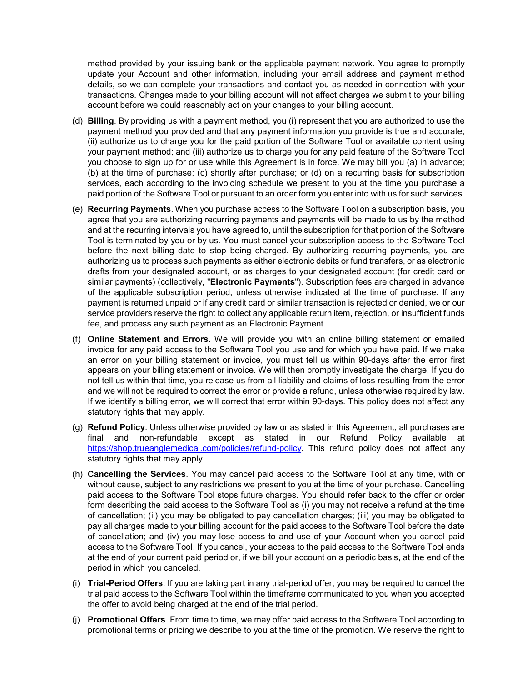method provided by your issuing bank or the applicable payment network. You agree to promptly update your Account and other information, including your email address and payment method details, so we can complete your transactions and contact you as needed in connection with your transactions. Changes made to your billing account will not affect charges we submit to your billing account before we could reasonably act on your changes to your billing account.

- (d) **Billing**. By providing us with a payment method, you (i) represent that you are authorized to use the payment method you provided and that any payment information you provide is true and accurate; (ii) authorize us to charge you for the paid portion of the Software Tool or available content using your payment method; and (iii) authorize us to charge you for any paid feature of the Software Tool you choose to sign up for or use while this Agreement is in force. We may bill you (a) in advance; (b) at the time of purchase; (c) shortly after purchase; or (d) on a recurring basis for subscription services, each according to the invoicing schedule we present to you at the time you purchase a paid portion of the Software Tool or pursuant to an order form you enter into with us for such services.
- (e) **Recurring Payments**. When you purchase access to the Software Tool on a subscription basis, you agree that you are authorizing recurring payments and payments will be made to us by the method and at the recurring intervals you have agreed to, until the subscription for that portion of the Software Tool is terminated by you or by us. You must cancel your subscription access to the Software Tool before the next billing date to stop being charged. By authorizing recurring payments, you are authorizing us to process such payments as either electronic debits or fund transfers, or as electronic drafts from your designated account, or as charges to your designated account (for credit card or similar payments) (collectively, "**Electronic Payments**"). Subscription fees are charged in advance of the applicable subscription period, unless otherwise indicated at the time of purchase. If any payment is returned unpaid or if any credit card or similar transaction is rejected or denied, we or our service providers reserve the right to collect any applicable return item, rejection, or insufficient funds fee, and process any such payment as an Electronic Payment.
- (f) **Online Statement and Errors**. We will provide you with an online billing statement or emailed invoice for any paid access to the Software Tool you use and for which you have paid. If we make an error on your billing statement or invoice, you must tell us within 90-days after the error first appears on your billing statement or invoice. We will then promptly investigate the charge. If you do not tell us within that time, you release us from all liability and claims of loss resulting from the error and we will not be required to correct the error or provide a refund, unless otherwise required by law. If we identify a billing error, we will correct that error within 90-days. This policy does not affect any statutory rights that may apply.
- (g) **Refund Policy**. Unless otherwise provided by law or as stated in this Agreement, all purchases are final and non-refundable except as stated in our Refund Policy available at [https://shop.trueanglemedical.com/policies/refund-policy.](https://shop.trueanglemedical.com/policies/refund-policy) This refund policy does not affect any statutory rights that may apply.
- (h) **Cancelling the Services**. You may cancel paid access to the Software Tool at any time, with or without cause, subject to any restrictions we present to you at the time of your purchase. Cancelling paid access to the Software Tool stops future charges. You should refer back to the offer or order form describing the paid access to the Software Tool as (i) you may not receive a refund at the time of cancellation; (ii) you may be obligated to pay cancellation charges; (iii) you may be obligated to pay all charges made to your billing account for the paid access to the Software Tool before the date of cancellation; and (iv) you may lose access to and use of your Account when you cancel paid access to the Software Tool. If you cancel, your access to the paid access to the Software Tool ends at the end of your current paid period or, if we bill your account on a periodic basis, at the end of the period in which you canceled.
- (i) **Trial-Period Offers**. If you are taking part in any trial-period offer, you may be required to cancel the trial paid access to the Software Tool within the timeframe communicated to you when you accepted the offer to avoid being charged at the end of the trial period.
- (j) **Promotional Offers**. From time to time, we may offer paid access to the Software Tool according to promotional terms or pricing we describe to you at the time of the promotion. We reserve the right to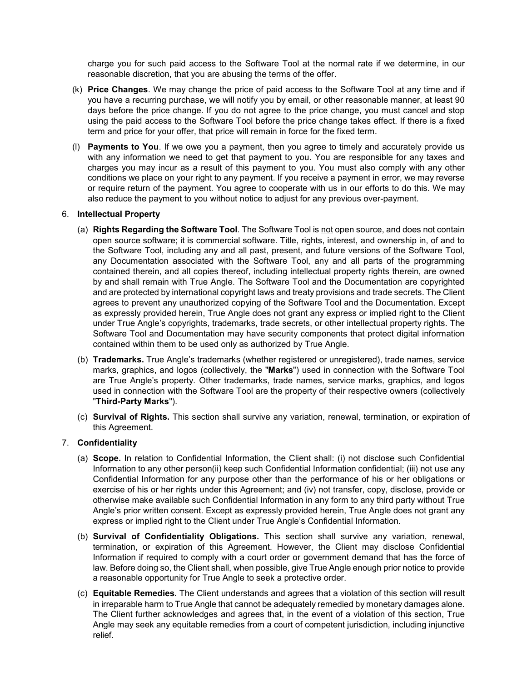charge you for such paid access to the Software Tool at the normal rate if we determine, in our reasonable discretion, that you are abusing the terms of the offer.

- (k) **Price Changes**. We may change the price of paid access to the Software Tool at any time and if you have a recurring purchase, we will notify you by email, or other reasonable manner, at least 90 days before the price change. If you do not agree to the price change, you must cancel and stop using the paid access to the Software Tool before the price change takes effect. If there is a fixed term and price for your offer, that price will remain in force for the fixed term.
- (l) **Payments to You**. If we owe you a payment, then you agree to timely and accurately provide us with any information we need to get that payment to you. You are responsible for any taxes and charges you may incur as a result of this payment to you. You must also comply with any other conditions we place on your right to any payment. If you receive a payment in error, we may reverse or require return of the payment. You agree to cooperate with us in our efforts to do this. We may also reduce the payment to you without notice to adjust for any previous over-payment.

### 6. **Intellectual Property**

- (a) **Rights Regarding the Software Tool**. The Software Tool is not open source, and does not contain open source software; it is commercial software. Title, rights, interest, and ownership in, of and to the Software Tool, including any and all past, present, and future versions of the Software Tool, any Documentation associated with the Software Tool, any and all parts of the programming contained therein, and all copies thereof, including intellectual property rights therein, are owned by and shall remain with True Angle. The Software Tool and the Documentation are copyrighted and are protected by international copyright laws and treaty provisions and trade secrets. The Client agrees to prevent any unauthorized copying of the Software Tool and the Documentation. Except as expressly provided herein, True Angle does not grant any express or implied right to the Client under True Angle's copyrights, trademarks, trade secrets, or other intellectual property rights. The Software Tool and Documentation may have security components that protect digital information contained within them to be used only as authorized by True Angle.
- (b) **Trademarks.** True Angle's trademarks (whether registered or unregistered), trade names, service marks, graphics, and logos (collectively, the "**Marks**") used in connection with the Software Tool are True Angle's property. Other trademarks, trade names, service marks, graphics, and logos used in connection with the Software Tool are the property of their respective owners (collectively "**Third-Party Marks**").
- (c) **Survival of Rights.** This section shall survive any variation, renewal, termination, or expiration of this Agreement.

# 7. **Confidentiality**

- (a) **Scope.** In relation to Confidential Information, the Client shall: (i) not disclose such Confidential Information to any other person(ii) keep such Confidential Information confidential; (iii) not use any Confidential Information for any purpose other than the performance of his or her obligations or exercise of his or her rights under this Agreement; and (iv) not transfer, copy, disclose, provide or otherwise make available such Confidential Information in any form to any third party without True Angle's prior written consent. Except as expressly provided herein, True Angle does not grant any express or implied right to the Client under True Angle's Confidential Information.
- (b) **Survival of Confidentiality Obligations.** This section shall survive any variation, renewal, termination, or expiration of this Agreement. However, the Client may disclose Confidential Information if required to comply with a court order or government demand that has the force of law. Before doing so, the Client shall, when possible, give True Angle enough prior notice to provide a reasonable opportunity for True Angle to seek a protective order.
- (c) **Equitable Remedies.** The Client understands and agrees that a violation of this section will result in irreparable harm to True Angle that cannot be adequately remedied by monetary damages alone. The Client further acknowledges and agrees that, in the event of a violation of this section, True Angle may seek any equitable remedies from a court of competent jurisdiction, including injunctive relief.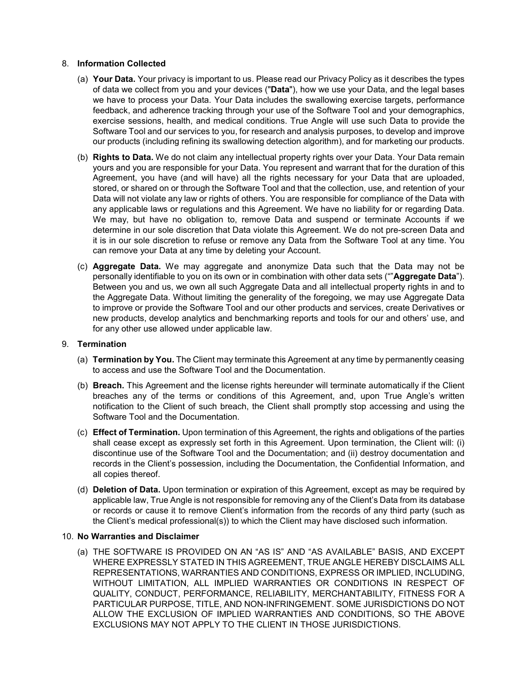### 8. **Information Collected**

- (a) **Your Data.** Your privacy is important to us. Please read our Privacy Policy as it describes the types of data we collect from you and your devices ("**Data**"), how we use your Data, and the legal bases we have to process your Data. Your Data includes the swallowing exercise targets, performance feedback, and adherence tracking through your use of the Software Tool and your demographics, exercise sessions, health, and medical conditions. True Angle will use such Data to provide the Software Tool and our services to you, for research and analysis purposes, to develop and improve our products (including refining its swallowing detection algorithm), and for marketing our products.
- (b) **Rights to Data.** We do not claim any intellectual property rights over your Data. Your Data remain yours and you are responsible for your Data. You represent and warrant that for the duration of this Agreement, you have (and will have) all the rights necessary for your Data that are uploaded, stored, or shared on or through the Software Tool and that the collection, use, and retention of your Data will not violate any law or rights of others. You are responsible for compliance of the Data with any applicable laws or regulations and this Agreement. We have no liability for or regarding Data. We may, but have no obligation to, remove Data and suspend or terminate Accounts if we determine in our sole discretion that Data violate this Agreement. We do not pre-screen Data and it is in our sole discretion to refuse or remove any Data from the Software Tool at any time. You can remove your Data at any time by deleting your Account.
- (c) **Aggregate Data.** We may aggregate and anonymize Data such that the Data may not be personally identifiable to you on its own or in combination with other data sets (""**Aggregate Data**"). Between you and us, we own all such Aggregate Data and all intellectual property rights in and to the Aggregate Data. Without limiting the generality of the foregoing, we may use Aggregate Data to improve or provide the Software Tool and our other products and services, create Derivatives or new products, develop analytics and benchmarking reports and tools for our and others' use, and for any other use allowed under applicable law.

### 9. **Termination**

- (a) **Termination by You.** The Client may terminate this Agreement at any time by permanently ceasing to access and use the Software Tool and the Documentation.
- (b) **Breach.** This Agreement and the license rights hereunder will terminate automatically if the Client breaches any of the terms or conditions of this Agreement, and, upon True Angle's written notification to the Client of such breach, the Client shall promptly stop accessing and using the Software Tool and the Documentation.
- (c) **Effect of Termination.** Upon termination of this Agreement, the rights and obligations of the parties shall cease except as expressly set forth in this Agreement. Upon termination, the Client will: (i) discontinue use of the Software Tool and the Documentation; and (ii) destroy documentation and records in the Client's possession, including the Documentation, the Confidential Information, and all copies thereof.
- (d) **Deletion of Data.** Upon termination or expiration of this Agreement, except as may be required by applicable law, True Angle is not responsible for removing any of the Client's Data from its database or records or cause it to remove Client's information from the records of any third party (such as the Client's medical professional(s)) to which the Client may have disclosed such information.

### 10. **No Warranties and Disclaimer**

(a) THE SOFTWARE IS PROVIDED ON AN "AS IS" AND "AS AVAILABLE" BASIS, AND EXCEPT WHERE EXPRESSLY STATED IN THIS AGREEMENT, TRUE ANGLE HEREBY DISCLAIMS ALL REPRESENTATIONS, WARRANTIES AND CONDITIONS, EXPRESS OR IMPLIED, INCLUDING, WITHOUT LIMITATION, ALL IMPLIED WARRANTIES OR CONDITIONS IN RESPECT OF QUALITY, CONDUCT, PERFORMANCE, RELIABILITY, MERCHANTABILITY, FITNESS FOR A PARTICULAR PURPOSE, TITLE, AND NON-INFRINGEMENT. SOME JURISDICTIONS DO NOT ALLOW THE EXCLUSION OF IMPLIED WARRANTIES AND CONDITIONS, SO THE ABOVE EXCLUSIONS MAY NOT APPLY TO THE CLIENT IN THOSE JURISDICTIONS.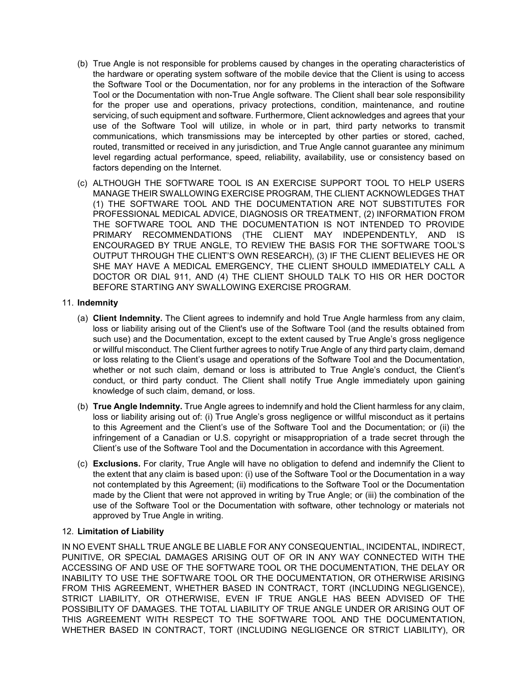- (b) True Angle is not responsible for problems caused by changes in the operating characteristics of the hardware or operating system software of the mobile device that the Client is using to access the Software Tool or the Documentation, nor for any problems in the interaction of the Software Tool or the Documentation with non-True Angle software. The Client shall bear sole responsibility for the proper use and operations, privacy protections, condition, maintenance, and routine servicing, of such equipment and software. Furthermore, Client acknowledges and agrees that your use of the Software Tool will utilize, in whole or in part, third party networks to transmit communications, which transmissions may be intercepted by other parties or stored, cached, routed, transmitted or received in any jurisdiction, and True Angle cannot guarantee any minimum level regarding actual performance, speed, reliability, availability, use or consistency based on factors depending on the Internet.
- (c) ALTHOUGH THE SOFTWARE TOOL IS AN EXERCISE SUPPORT TOOL TO HELP USERS MANAGE THEIR SWALLOWING EXERCISE PROGRAM, THE CLIENT ACKNOWLEDGES THAT (1) THE SOFTWARE TOOL AND THE DOCUMENTATION ARE NOT SUBSTITUTES FOR PROFESSIONAL MEDICAL ADVICE, DIAGNOSIS OR TREATMENT, (2) INFORMATION FROM THE SOFTWARE TOOL AND THE DOCUMENTATION IS NOT INTENDED TO PROVIDE PRIMARY RECOMMENDATIONS (THE CLIENT MAY INDEPENDENTLY, AND IS ENCOURAGED BY TRUE ANGLE, TO REVIEW THE BASIS FOR THE SOFTWARE TOOL'S OUTPUT THROUGH THE CLIENT'S OWN RESEARCH), (3) IF THE CLIENT BELIEVES HE OR SHE MAY HAVE A MEDICAL EMERGENCY, THE CLIENT SHOULD IMMEDIATELY CALL A DOCTOR OR DIAL 911, AND (4) THE CLIENT SHOULD TALK TO HIS OR HER DOCTOR BEFORE STARTING ANY SWALLOWING EXERCISE PROGRAM.

# 11. **Indemnity**

- (a) **Client Indemnity.** The Client agrees to indemnify and hold True Angle harmless from any claim, loss or liability arising out of the Client's use of the Software Tool (and the results obtained from such use) and the Documentation, except to the extent caused by True Angle's gross negligence or willful misconduct. The Client further agrees to notify True Angle of any third party claim, demand or loss relating to the Client's usage and operations of the Software Tool and the Documentation, whether or not such claim, demand or loss is attributed to True Angle's conduct, the Client's conduct, or third party conduct. The Client shall notify True Angle immediately upon gaining knowledge of such claim, demand, or loss.
- (b) **True Angle Indemnity.** True Angle agrees to indemnify and hold the Client harmless for any claim, loss or liability arising out of: (i) True Angle's gross negligence or willful misconduct as it pertains to this Agreement and the Client's use of the Software Tool and the Documentation; or (ii) the infringement of a Canadian or U.S. copyright or misappropriation of a trade secret through the Client's use of the Software Tool and the Documentation in accordance with this Agreement.
- (c) **Exclusions.** For clarity, True Angle will have no obligation to defend and indemnify the Client to the extent that any claim is based upon: (i) use of the Software Tool or the Documentation in a way not contemplated by this Agreement; (ii) modifications to the Software Tool or the Documentation made by the Client that were not approved in writing by True Angle; or (iii) the combination of the use of the Software Tool or the Documentation with software, other technology or materials not approved by True Angle in writing.

# 12. **Limitation of Liability**

IN NO EVENT SHALL TRUE ANGLE BE LIABLE FOR ANY CONSEQUENTIAL, INCIDENTAL, INDIRECT, PUNITIVE, OR SPECIAL DAMAGES ARISING OUT OF OR IN ANY WAY CONNECTED WITH THE ACCESSING OF AND USE OF THE SOFTWARE TOOL OR THE DOCUMENTATION, THE DELAY OR INABILITY TO USE THE SOFTWARE TOOL OR THE DOCUMENTATION, OR OTHERWISE ARISING FROM THIS AGREEMENT, WHETHER BASED IN CONTRACT, TORT (INCLUDING NEGLIGENCE), STRICT LIABILITY, OR OTHERWISE, EVEN IF TRUE ANGLE HAS BEEN ADVISED OF THE POSSIBILITY OF DAMAGES. THE TOTAL LIABILITY OF TRUE ANGLE UNDER OR ARISING OUT OF THIS AGREEMENT WITH RESPECT TO THE SOFTWARE TOOL AND THE DOCUMENTATION, WHETHER BASED IN CONTRACT, TORT (INCLUDING NEGLIGENCE OR STRICT LIABILITY), OR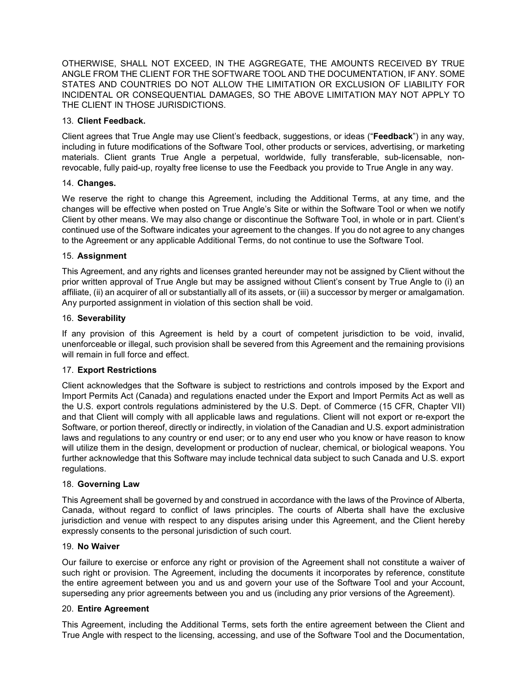OTHERWISE, SHALL NOT EXCEED, IN THE AGGREGATE, THE AMOUNTS RECEIVED BY TRUE ANGLE FROM THE CLIENT FOR THE SOFTWARE TOOL AND THE DOCUMENTATION, IF ANY. SOME STATES AND COUNTRIES DO NOT ALLOW THE LIMITATION OR EXCLUSION OF LIABILITY FOR INCIDENTAL OR CONSEQUENTIAL DAMAGES, SO THE ABOVE LIMITATION MAY NOT APPLY TO THE CLIENT IN THOSE JURISDICTIONS.

### 13. **Client Feedback.**

Client agrees that True Angle may use Client's feedback, suggestions, or ideas ("**Feedback**") in any way, including in future modifications of the Software Tool, other products or services, advertising, or marketing materials. Client grants True Angle a perpetual, worldwide, fully transferable, sub-licensable, nonrevocable, fully paid-up, royalty free license to use the Feedback you provide to True Angle in any way.

### 14. **Changes.**

We reserve the right to change this Agreement, including the Additional Terms, at any time, and the changes will be effective when posted on True Angle's Site or within the Software Tool or when we notify Client by other means. We may also change or discontinue the Software Tool, in whole or in part. Client's continued use of the Software indicates your agreement to the changes. If you do not agree to any changes to the Agreement or any applicable Additional Terms, do not continue to use the Software Tool.

### 15. **Assignment**

This Agreement, and any rights and licenses granted hereunder may not be assigned by Client without the prior written approval of True Angle but may be assigned without Client's consent by True Angle to (i) an affiliate, (ii) an acquirer of all or substantially all of its assets, or (iii) a successor by merger or amalgamation. Any purported assignment in violation of this section shall be void.

### 16. **Severability**

If any provision of this Agreement is held by a court of competent jurisdiction to be void, invalid, unenforceable or illegal, such provision shall be severed from this Agreement and the remaining provisions will remain in full force and effect.

# 17. **Export Restrictions**

Client acknowledges that the Software is subject to restrictions and controls imposed by the Export and Import Permits Act (Canada) and regulations enacted under the Export and Import Permits Act as well as the U.S. export controls regulations administered by the U.S. Dept. of Commerce (15 CFR, Chapter VII) and that Client will comply with all applicable laws and regulations. Client will not export or re-export the Software, or portion thereof, directly or indirectly, in violation of the Canadian and U.S. export administration laws and regulations to any country or end user; or to any end user who you know or have reason to know will utilize them in the design, development or production of nuclear, chemical, or biological weapons. You further acknowledge that this Software may include technical data subject to such Canada and U.S. export regulations.

### 18. **Governing Law**

This Agreement shall be governed by and construed in accordance with the laws of the Province of Alberta, Canada, without regard to conflict of laws principles. The courts of Alberta shall have the exclusive jurisdiction and venue with respect to any disputes arising under this Agreement, and the Client hereby expressly consents to the personal jurisdiction of such court.

### 19. **No Waiver**

Our failure to exercise or enforce any right or provision of the Agreement shall not constitute a waiver of such right or provision. The Agreement, including the documents it incorporates by reference, constitute the entire agreement between you and us and govern your use of the Software Tool and your Account, superseding any prior agreements between you and us (including any prior versions of the Agreement).

### 20. **Entire Agreement**

This Agreement, including the Additional Terms, sets forth the entire agreement between the Client and True Angle with respect to the licensing, accessing, and use of the Software Tool and the Documentation,